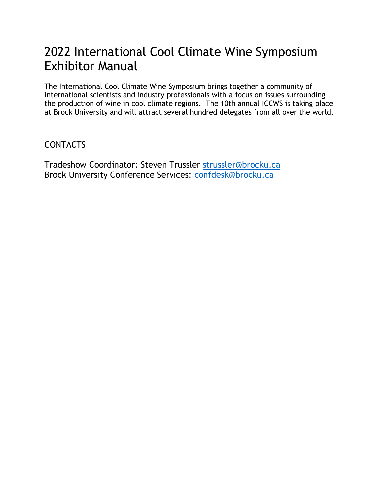# 2022 International Cool Climate Wine Symposium Exhibitor Manual

The International Cool Climate Wine Symposium brings together a community of international scientists and industry professionals with a focus on issues surrounding the production of wine in cool climate regions. The 10th annual ICCWS is taking place at Brock University and will attract several hundred delegates from all over the world.

#### **CONTACTS**

Tradeshow Coordinator: Steven Trussler [strussler@brocku.ca](mailto:strussler@brocku.ca) Brock University Conference Services: [confdesk@brocku.ca](mailto:confdesk@brocku.ca)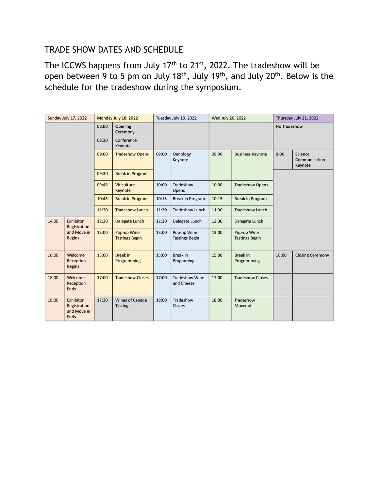## TRADE SHOW DATES AND SCHEDULE

The ICCWS happens from July 17<sup>th</sup> to 21<sup>st</sup>, 2022. The tradeshow will be open between 9 to 5 pm on July 18<sup>th</sup>, July 19<sup>th</sup>, and July 20<sup>th</sup>. Below is the schedule for the tradeshow during the symposium.

| Sunday July 17, 2022 |                                                           | Monday July 18, 2022 |                                          | Tuesday July 19, 2022 |                                      | Wed July 20, 2022 |                                      | Thursday July 21, 2022 |                                     |
|----------------------|-----------------------------------------------------------|----------------------|------------------------------------------|-----------------------|--------------------------------------|-------------------|--------------------------------------|------------------------|-------------------------------------|
|                      |                                                           | 08:00                | Opening<br>Ceremony                      |                       |                                      |                   |                                      | No Tradeshow           |                                     |
|                      |                                                           | 08:30                | Conference<br>Keynote                    |                       |                                      |                   |                                      |                        |                                     |
|                      |                                                           | 09:00                | <b>Tradeshow Opens</b>                   | 09:00                 | Oenology<br>Keynote                  | 09:00             | <b>Business Keynote</b>              | 9:00                   | Science<br>Communication<br>Keynote |
|                      |                                                           | 09:30                | <b>Break in Program</b>                  |                       |                                      |                   |                                      |                        |                                     |
|                      |                                                           | 09:45                | <b>Viticulture</b><br>Keynote            | 10:00                 | Tradeshow<br>Opens                   | 10:00             | <b>Tradeshow Opens</b>               |                        |                                     |
|                      |                                                           | 10:45                | <b>Break in Program</b>                  | 10:15                 | <b>Break in Program</b>              | 10:15             | <b>Break in Program</b>              |                        |                                     |
|                      |                                                           | 11:30                | <b>Tradeshow Lunch</b>                   | 11:30                 | <b>Tradeshow Lunch</b>               | 11:30             | <b>Tradeshow Lunch</b>               |                        |                                     |
| 14:00                | Exhibitor<br>Registration<br>and Move in<br><b>Begins</b> | 12:30                | <b>Delegate Lunch</b>                    | 12:30                 | Delegate Lunch                       | 12:30             | Delegate Lunch                       |                        |                                     |
|                      |                                                           | 13:00                | Pop-up Wine<br><b>Tastings Begin</b>     | 13:00                 | Pop-up Wine<br><b>Tastings Begin</b> | 13:00             | Pop-up Wine<br><b>Tastings Begin</b> |                        |                                     |
| 16:00                | Welcome<br>Reception<br><b>Begins</b>                     | 15:00                | <b>Break in</b><br>Programming           | 15:00                 | <b>Break in</b><br>Programing        | 15:00             | <b>Break in</b><br>Programming       | 16:00                  | <b>Closing Ceremony</b>             |
| 18:00                | Welcome<br>Reception<br><b>Ends</b>                       | 17:00                | <b>Tradeshow Closes</b>                  | 17:00                 | <b>Tradeshow Wine</b><br>and Cheese  | 17:00             | <b>Tradeshow Closes</b>              |                        |                                     |
| 19:00                | Exhibitor<br>Registration<br>and Move in<br>Ends          | 17:30                | <b>Wines of Canada</b><br><b>Tasting</b> | 18:00                 | Tradeshow<br>Closes                  | 18:00             | Tradeshow<br>Moveout                 |                        |                                     |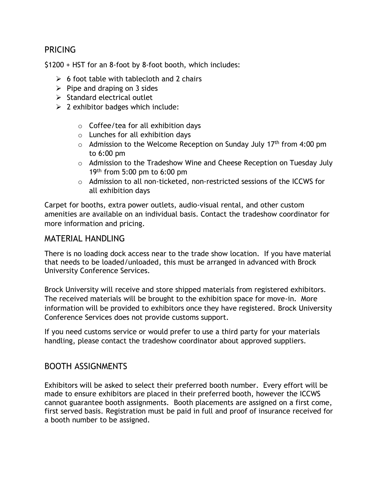## PRICING

\$1200 + HST for an 8-foot by 8-foot booth, which includes:

- $\geq 6$  foot table with tablecloth and 2 chairs
- $\triangleright$  Pipe and draping on 3 sides
- $\triangleright$  Standard electrical outlet
- $\geq$  2 exhibitor badges which include:
	- $\circ$  Coffee/tea for all exhibition days
	- o Lunches for all exhibition days
	- $\circ$  Admission to the Welcome Reception on Sunday July 17<sup>th</sup> from 4:00 pm to 6:00 pm
	- o Admission to the Tradeshow Wine and Cheese Reception on Tuesday July 19th from 5:00 pm to 6:00 pm
	- o Admission to all non-ticketed, non-restricted sessions of the ICCWS for all exhibition days

Carpet for booths, extra power outlets, audio-visual rental, and other custom amenities are available on an individual basis. Contact the tradeshow coordinator for more information and pricing.

#### MATERIAL HANDLING

There is no loading dock access near to the trade show location. If you have material that needs to be loaded/unloaded, this must be arranged in advanced with Brock University Conference Services.

Brock University will receive and store shipped materials from registered exhibitors. The received materials will be brought to the exhibition space for move-in. More information will be provided to exhibitors once they have registered. Brock University Conference Services does not provide customs support.

If you need customs service or would prefer to use a third party for your materials handling, please contact the tradeshow coordinator about approved suppliers.

#### BOOTH ASSIGNMENTS

Exhibitors will be asked to select their preferred booth number. Every effort will be made to ensure exhibitors are placed in their preferred booth, however the ICCWS cannot guarantee booth assignments. Booth placements are assigned on a first come, first served basis. Registration must be paid in full and proof of insurance received for a booth number to be assigned.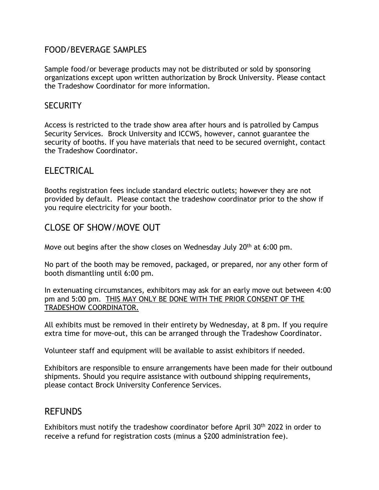#### FOOD/BEVERAGE SAMPLES

Sample food/or beverage products may not be distributed or sold by sponsoring organizations except upon written authorization by Brock University. Please contact the Tradeshow Coordinator for more information.

#### **SECURITY**

Access is restricted to the trade show area after hours and is patrolled by Campus Security Services. Brock University and ICCWS, however, cannot guarantee the security of booths. If you have materials that need to be secured overnight, contact the Tradeshow Coordinator.

## **ELECTRICAL**

Booths registration fees include standard electric outlets; however they are not provided by default. Please contact the tradeshow coordinator prior to the show if you require electricity for your booth.

## CLOSE OF SHOW/MOVE OUT

Move out begins after the show closes on Wednesday July  $20<sup>th</sup>$  at 6:00 pm.

No part of the booth may be removed, packaged, or prepared, nor any other form of booth dismantling until 6:00 pm.

In extenuating circumstances, exhibitors may ask for an early move out between 4:00 pm and 5:00 pm. THIS MAY ONLY BE DONE WITH THE PRIOR CONSENT OF THE TRADESHOW COORDINATOR.

All exhibits must be removed in their entirety by Wednesday, at 8 pm. If you require extra time for move-out, this can be arranged through the Tradeshow Coordinator.

Volunteer staff and equipment will be available to assist exhibitors if needed.

Exhibitors are responsible to ensure arrangements have been made for their outbound shipments. Should you require assistance with outbound shipping requirements, please contact Brock University Conference Services.

## REFUNDS

Exhibitors must notify the tradeshow coordinator before April  $30<sup>th</sup>$  2022 in order to receive a refund for registration costs (minus a \$200 administration fee).